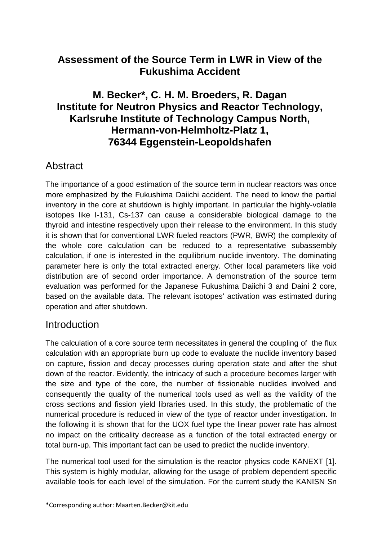## **Assessment of the Source Term in LWR in View of the Fukushima Accident**

## **M. Becker\*, C. H. M. Broeders, R. Dagan Institute for Neutron Physics and Reactor Technology, Karlsruhe Institute of Technology Campus North, Hermann-von-Helmholtz-Platz 1, 76344 Eggenstein-Leopoldshafen**

### **Abstract**

The importance of a good estimation of the source term in nuclear reactors was once more emphasized by the Fukushima Daiichi accident. The need to know the partial inventory in the core at shutdown is highly important. In particular the highly-volatile isotopes like I-131, Cs-137 can cause a considerable biological damage to the thyroid and intestine respectively upon their release to the environment. In this study it is shown that for conventional LWR fueled reactors (PWR, BWR) the complexity of the whole core calculation can be reduced to a representative subassembly calculation, if one is interested in the equilibrium nuclide inventory. The dominating parameter here is only the total extracted energy. Other local parameters like void distribution are of second order importance. A demonstration of the source term evaluation was performed for the Japanese Fukushima Daiichi 3 and Daini 2 core, based on the available data. The relevant isotopes' activation was estimated during operation and after shutdown.

#### **Introduction**

The calculation of a core source term necessitates in general the coupling of the flux calculation with an appropriate burn up code to evaluate the nuclide inventory based on capture, fission and decay processes during operation state and after the shut down of the reactor. Evidently, the intricacy of such a procedure becomes larger with the size and type of the core, the number of fissionable nuclides involved and consequently the quality of the numerical tools used as well as the validity of the cross sections and fission yield libraries used. In this study, the problematic of the numerical procedure is reduced in view of the type of reactor under investigation. In the following it is shown that for the UOX fuel type the linear power rate has almost no impact on the criticality decrease as a function of the total extracted energy or total burn-up. This important fact can be used to predict the nuclide inventory.

The numerical tool used for the simulation is the reactor physics code KANEXT [1]. This system is highly modular, allowing for the usage of problem dependent specific available tools for each level of the simulation. For the current study the KANISN Sn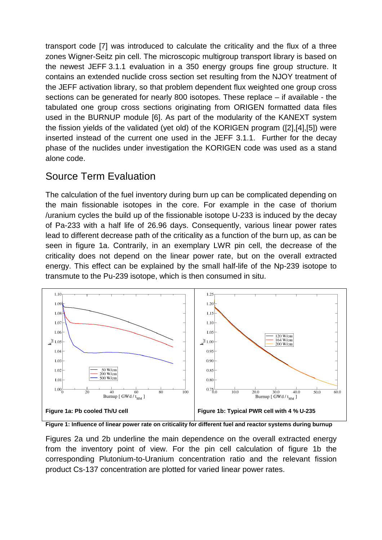transport code [7] was introduced to calculate the criticality and the flux of a three zones Wigner-Seitz pin cell. The microscopic multigroup transport library is based on the newest JEFF 3.1.1 evaluation in a 350 energy groups fine group structure. It contains an extended nuclide cross section set resulting from the NJOY treatment of the JEFF activation library, so that problem dependent flux weighted one group cross sections can be generated for nearly 800 isotopes. These replace – if available - the tabulated one group cross sections originating from ORIGEN formatted data files used in the BURNUP module [6]. As part of the modularity of the KANEXT system the fission yields of the validated (yet old) of the KORIGEN program ([2],[4],[5]) were inserted instead of the current one used in the JEFF 3.1.1. Further for the decay phase of the nuclides under investigation the KORIGEN code was used as a stand alone code.

# Source Term Evaluation

The calculation of the fuel inventory during burn up can be complicated depending on the main fissionable isotopes in the core. For example in the case of thorium /uranium cycles the build up of the fissionable isotope U-233 is induced by the decay of Pa-233 with a half life of 26.96 days. Consequently, various linear power rates lead to different decrease path of the criticality as a function of the burn up, as can be seen in figure 1a. Contrarily, in an exemplary LWR pin cell, the decrease of the criticality does not depend on the linear power rate, but on the overall extracted energy. This effect can be explained by the small half-life of the Np-239 isotope to transmute to the Pu-239 isotope, which is then consumed in situ.



**Figure 1: Influence of linear power rate on criticality for different fuel and reactor systems during burnup**

Figures 2a und 2b underline the main dependence on the overall extracted energy from the inventory point of view. For the pin cell calculation of figure 1b the corresponding Plutonium-to-Uranium concentration ratio and the relevant fission product Cs-137 concentration are plotted for varied linear power rates.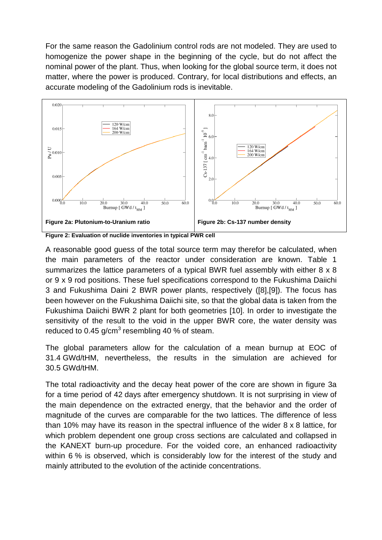For the same reason the Gadolinium control rods are not modeled. They are used to homogenize the power shape in the beginning of the cycle, but do not affect the nominal power of the plant. Thus, when looking for the global source term, it does not matter, where the power is produced. Contrary, for local distributions and effects, an accurate modeling of the Gadolinium rods is inevitable.



**Figure 2: Evaluation of nuclide inventories in typical PWR cell**

A reasonable good guess of the total source term may therefor be calculated, when the main parameters of the reactor under consideration are known. Table 1 summarizes the lattice parameters of a typical BWR fuel assembly with either 8 x 8 or 9 x 9 rod positions. These fuel specifications correspond to the Fukushima Daiichi 3 and Fukushima Daini 2 BWR power plants, respectively ([8],[9]). The focus has been however on the Fukushima Daiichi site, so that the global data is taken from the Fukushima Daiichi BWR 2 plant for both geometries [10]. In order to investigate the sensitivity of the result to the void in the upper BWR core, the water density was reduced to 0.45 g/cm $3$  resembling 40 % of steam.

The global parameters allow for the calculation of a mean burnup at EOC of 31.4 GWd/tHM, nevertheless, the results in the simulation are achieved for 30.5 GWd/tHM.

The total radioactivity and the decay heat power of the core are shown in figure 3a for a time period of 42 days after emergency shutdown. It is not surprising in view of the main dependence on the extracted energy, that the behavior and the order of magnitude of the curves are comparable for the two lattices. The difference of less than 10% may have its reason in the spectral influence of the wider 8 x 8 lattice, for which problem dependent one group cross sections are calculated and collapsed in the KANEXT burn-up procedure. For the voided core, an enhanced radioactivity within 6 % is observed, which is considerably low for the interest of the study and mainly attributed to the evolution of the actinide concentrations.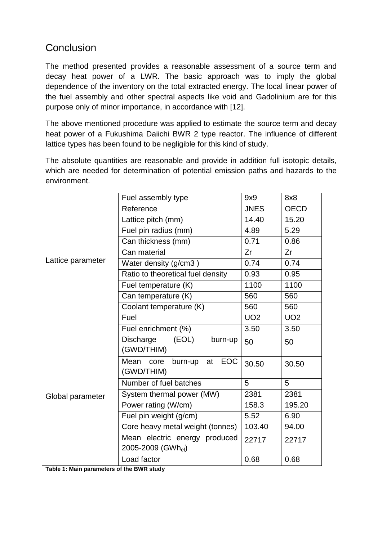# **Conclusion**

The method presented provides a reasonable assessment of a source term and decay heat power of a LWR. The basic approach was to imply the global dependence of the inventory on the total extracted energy. The local linear power of the fuel assembly and other spectral aspects like void and Gadolinium are for this purpose only of minor importance, in accordance with [12].

The above mentioned procedure was applied to estimate the source term and decay heat power of a Fukushima Daiichi BWR 2 type reactor. The influence of different lattice types has been found to be negligible for this kind of study.

The absolute quantities are reasonable and provide in addition full isotopic details, which are needed for determination of potential emission paths and hazards to the environment.

| Lattice parameter | Fuel assembly type                                     | 9x9         | 8x8         |
|-------------------|--------------------------------------------------------|-------------|-------------|
|                   | Reference                                              | <b>JNES</b> | <b>OECD</b> |
|                   | Lattice pitch (mm)                                     | 14.40       | 15.20       |
|                   | Fuel pin radius (mm)                                   | 4.89        | 5.29        |
|                   | Can thickness (mm)                                     | 0.71        | 0.86        |
|                   | Can material                                           | Zr          | Zr          |
|                   | Water density (g/cm3)                                  | 0.74        | 0.74        |
|                   | Ratio to theoretical fuel density                      | 0.93        | 0.95        |
|                   | Fuel temperature (K)                                   | 1100        | 1100        |
|                   | Can temperature (K)                                    | 560         | 560         |
|                   | Coolant temperature (K)                                | 560         | 560         |
|                   | Fuel                                                   | <b>UO2</b>  | <b>UO2</b>  |
|                   | Fuel enrichment (%)                                    | 3.50        | 3.50        |
| Global parameter  | <b>Discharge</b><br>(EOL)<br>burn-up<br>(GWD/THIM)     | 50          | 50          |
|                   | Mean core<br><b>EOC</b><br>burn-up<br>at<br>(GWD/THIM) | 30.50       | 30.50       |
|                   | Number of fuel batches                                 | 5           | 5           |
|                   | System thermal power (MW)                              | 2381        | 2381        |
|                   | Power rating (W/cm)                                    | 158.3       | 195.20      |
|                   | Fuel pin weight (g/cm)                                 | 5.52        | 6.90        |
|                   | Core heavy metal weight (tonnes)                       | 103.40      | 94.00       |
|                   | Mean electric energy produced<br>2005-2009 (GWhel)     | 22717       | 22717       |
|                   | Load factor                                            | 0.68        | 0.68        |

**Table 1: Main parameters of the BWR study**